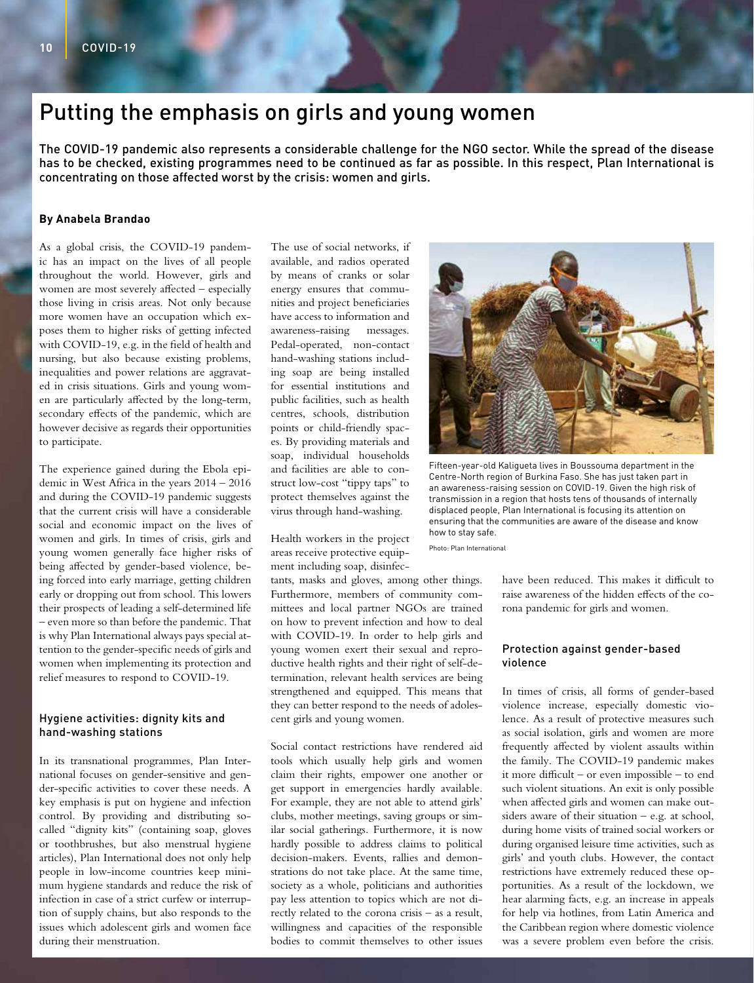# Putting the emphasis on girls and young women

The COVID-19 pandemic also represents a considerable challenge for the NGO sector. While the spread of the disease has to be checked, existing programmes need to be continued as far as possible. In this respect, Plan International is concentrating on those affected worst by the crisis: women and girls.

### **By Anabela Brandao**

As a global crisis, the COVID-19 pandemic has an impact on the lives of all people throughout the world. However, girls and women are most severely affected – especially those living in crisis areas. Not only because more women have an occupation which exposes them to higher risks of getting infected with COVID-19, e.g. in the field of health and nursing, but also because existing problems, inequalities and power relations are aggravated in crisis situations. Girls and young women are particularly affected by the long-term, secondary effects of the pandemic, which are however decisive as regards their opportunities to participate.

The experience gained during the Ebola epidemic in West Africa in the years 2014 – 2016 and during the COVID-19 pandemic suggests that the current crisis will have a considerable social and economic impact on the lives of women and girls. In times of crisis, girls and young women generally face higher risks of being affected by gender-based violence, being forced into early marriage, getting children early or dropping out from school. This lowers their prospects of leading a self-determined life – even more so than before the pandemic. That is why Plan International always pays special attention to the gender-specific needs of girls and women when implementing its protection and relief measures to respond to COVID-19.

#### Hygiene activities: dignity kits and hand-washing stations

In its transnational programmes, Plan International focuses on gender-sensitive and gender-specific activities to cover these needs. A key emphasis is put on hygiene and infection control. By providing and distributing socalled "dignity kits" (containing soap, gloves or toothbrushes, but also menstrual hygiene articles), Plan International does not only help people in low-income countries keep minimum hygiene standards and reduce the risk of infection in case of a strict curfew or interruption of supply chains, but also responds to the issues which adolescent girls and women face during their menstruation.

The use of social networks, if available, and radios operated by means of cranks or solar energy ensures that communities and project beneficiaries have access to information and awareness-raising messages. Pedal-operated, non-contact hand-washing stations including soap are being installed for essential institutions and public facilities, such as health centres, schools, distribution points or child-friendly spaces. By providing materials and soap, individual households and facilities are able to construct low-cost "tippy taps" to protect themselves against the virus through hand-washing.

Health workers in the project areas receive protective equipment including soap, disinfec-

tants, masks and gloves, among other things. Furthermore, members of community committees and local partner NGOs are trained on how to prevent infection and how to deal with COVID-19. In order to help girls and young women exert their sexual and reproductive health rights and their right of self-determination, relevant health services are being strengthened and equipped. This means that they can better respond to the needs of adolescent girls and young women.

Social contact restrictions have rendered aid tools which usually help girls and women claim their rights, empower one another or get support in emergencies hardly available. For example, they are not able to attend girls' clubs, mother meetings, saving groups or similar social gatherings. Furthermore, it is now hardly possible to address claims to political decision-makers. Events, rallies and demonstrations do not take place. At the same time, society as a whole, politicians and authorities pay less attention to topics which are not directly related to the corona crisis – as a result, willingness and capacities of the responsible bodies to commit themselves to other issues



Fifteen-year-old Kaligueta lives in Boussouma department in the Centre-North region of Burkina Faso. She has just taken part in an awareness-raising session on COVID-19. Given the high risk of transmission in a region that hosts tens of thousands of internally displaced people, Plan International is focusing its attention on ensuring that the communities are aware of the disease and know how to stay safe.

Photo: Plan International

have been reduced. This makes it difficult to raise awareness of the hidden effects of the corona pandemic for girls and women.

# Protection against gender-based violence

In times of crisis, all forms of gender-based violence increase, especially domestic violence. As a result of protective measures such as social isolation, girls and women are more frequently affected by violent assaults within the family. The COVID-19 pandemic makes it more difficult – or even impossible – to end such violent situations. An exit is only possible when affected girls and women can make outsiders aware of their situation  $-$  e.g. at school, during home visits of trained social workers or during organised leisure time activities, such as girls' and youth clubs. However, the contact restrictions have extremely reduced these opportunities. As a result of the lockdown, we hear alarming facts, e.g. an increase in appeals for help via hotlines, from Latin America and the Caribbean region where domestic violence was a severe problem even before the crisis.